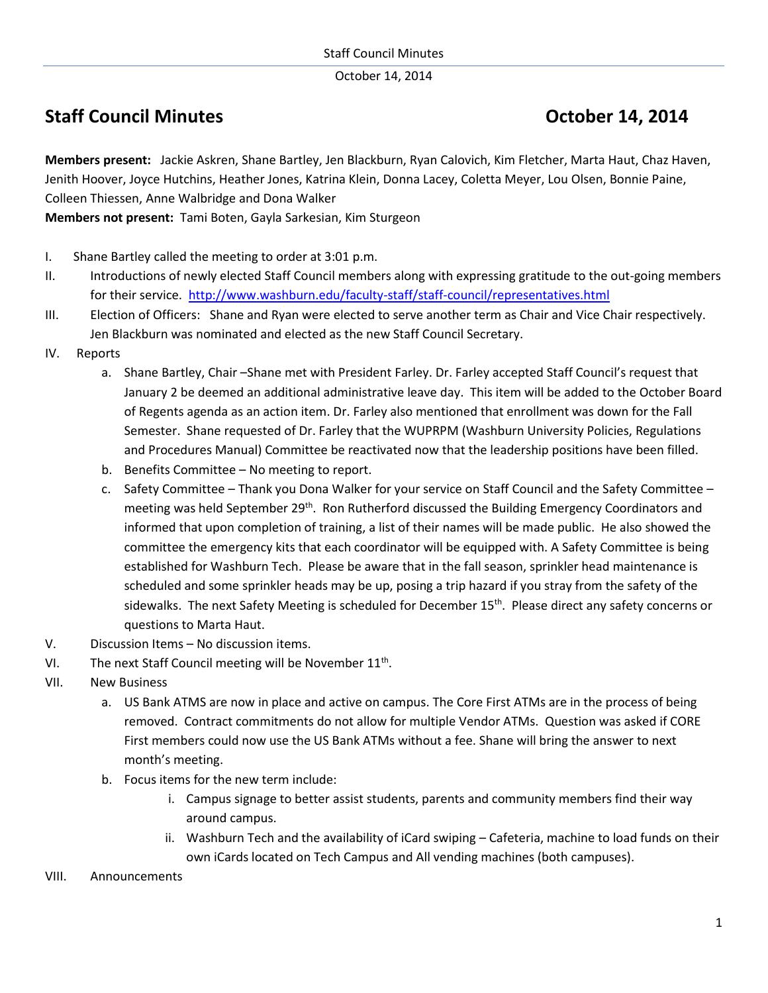October 14, 2014

## **Staff Council Minutes Council Minutes Council Minutes Council Minutes Council Minutes Council Minutes Council Minutes Council Minutes Council Minutes Council Minutes Council Minutes Council Minutes Council Minutes Council**

**Members present:** Jackie Askren, Shane Bartley, Jen Blackburn, Ryan Calovich, Kim Fletcher, Marta Haut, Chaz Haven, Jenith Hoover, Joyce Hutchins, Heather Jones, Katrina Klein, Donna Lacey, Coletta Meyer, Lou Olsen, Bonnie Paine, Colleen Thiessen, Anne Walbridge and Dona Walker

**Members not present:** Tami Boten, Gayla Sarkesian, Kim Sturgeon

- I. Shane Bartley called the meeting to order at 3:01 p.m.
- II. Introductions of newly elected Staff Council members along with expressing gratitude to the out-going members for their service. <http://www.washburn.edu/faculty-staff/staff-council/representatives.html>
- III. Election of Officers: Shane and Ryan were elected to serve another term as Chair and Vice Chair respectively. Jen Blackburn was nominated and elected as the new Staff Council Secretary.
- IV. Reports
	- a. Shane Bartley, Chair –Shane met with President Farley. Dr. Farley accepted Staff Council's request that January 2 be deemed an additional administrative leave day. This item will be added to the October Board of Regents agenda as an action item. Dr. Farley also mentioned that enrollment was down for the Fall Semester. Shane requested of Dr. Farley that the WUPRPM (Washburn University Policies, Regulations and Procedures Manual) Committee be reactivated now that the leadership positions have been filled.
	- b. Benefits Committee No meeting to report.
	- c. Safety Committee Thank you Dona Walker for your service on Staff Council and the Safety Committee meeting was held September 29<sup>th</sup>. Ron Rutherford discussed the Building Emergency Coordinators and informed that upon completion of training, a list of their names will be made public. He also showed the committee the emergency kits that each coordinator will be equipped with. A Safety Committee is being established for Washburn Tech. Please be aware that in the fall season, sprinkler head maintenance is scheduled and some sprinkler heads may be up, posing a trip hazard if you stray from the safety of the sidewalks. The next Safety Meeting is scheduled for December 15<sup>th</sup>. Please direct any safety concerns or questions to Marta Haut.
- V. Discussion Items No discussion items.
- VI. The next Staff Council meeting will be November  $11<sup>th</sup>$ .
- VII. New Business
	- a. US Bank ATMS are now in place and active on campus. The Core First ATMs are in the process of being removed. Contract commitments do not allow for multiple Vendor ATMs. Question was asked if CORE First members could now use the US Bank ATMs without a fee. Shane will bring the answer to next month's meeting.
	- b. Focus items for the new term include:
		- i. Campus signage to better assist students, parents and community members find their way around campus.
		- ii. Washburn Tech and the availability of iCard swiping Cafeteria, machine to load funds on their own iCards located on Tech Campus and All vending machines (both campuses).
- VIII. Announcements